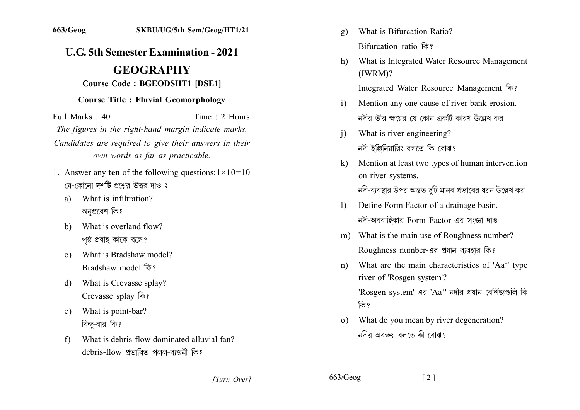## **U.G. 5th Semester Examination - 2021**

## **GEOGRAPHY**

## **Course Code: BGEODSHT1 [DSE1]**

## **Course Title: Fluvial Geomorphology**

Full Marks : 40 Time  $: 2$  Hours The figures in the right-hand margin indicate marks. Candidates are required to give their answers in their own words as far as practicable.

- 1. Answer any ten of the following questions:  $1 \times 10 = 10$ যে-কোনো দর্শটি প্রশ্নের উত্তর দাও ঃ
	- What is infiltration?  $a)$ অনপ্ৰবেশ কি?
	- What is overland flow?  $b)$ পষ্ঠ-প্ৰবাহ কাকে বলে?
	- What is Bradshaw model?  $c)$ Bradshaw model कि?
	- What is Crevasse splay?  $\mathbf{d}$ Crevasse splay कि?
	- What is point-bar? e) বিন্দু-বার কি?
	- What is debris-flow dominated alluvial fan?  $f$ debris-flow প্ৰভাবিত পলল-বাজনী কি?
- What is Bifurcation Ratio?  $\mathbf{g}$ ) Bifurcation ratio कि?
- What is Integrated Water Resource Management h)  $(IWRM)?$

Integrated Water Resource Management कि?

- Mention any one cause of river bank erosion.  $\mathbf{i}$ নদীর তীর ক্ষয়ের যে কোন একটি কারণ উল্লেখ কর।
- What is river engineering?  $\overline{1}$ নদী ইঞ্জিনিয়ারিং বলতে কি বোঝ?
- Mention at least two types of human intervention  $\bf k$ on river systems. নদী-ব্যবস্থার উপর অন্তত দটি মানব প্রভাবের ধরন উল্লেখ কর।
- Define Form Factor of a drainage basin.  $\mathbf{D}$ নদী-অববাহিকার Form Factor এর সংজ্ঞা দাও।
- m) What is the main use of Roughness number? Roughness number-এর প্রধান ব্যবহার কি?
- What are the main characteristics of 'Aa<sup>+</sup>' type  $n)$ river of 'Rosgen system'? 'Rosgen system' এর 'Aa<sup>+</sup>' নদীর প্রধান বৈশিষ্ট্যগুলি কি কি ?
- What do you mean by river degeneration?  $\Omega$ নদীর অবক্ষয় বলতে কী বোঝ?

[Turn Over]

 $663/Geog$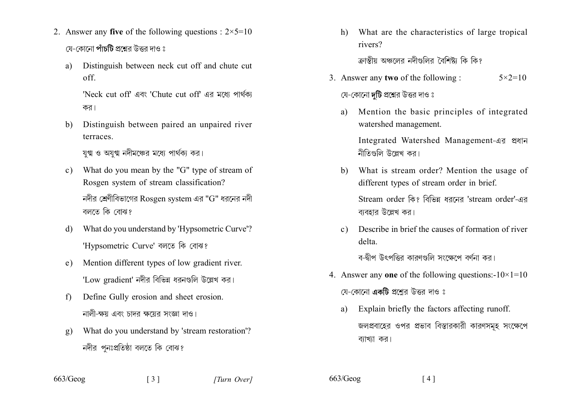- 2. Answer any five of the following questions :  $2 \times 5 = 10$ য়ে-কোনো **পাঁচটি** প্রশ্নের উত্তর দাও ঃ
	- Distinguish between neck cut off and chute cut  $a)$  $\alpha$ ff

'Neck cut off' এবং 'Chute cut off' এর মধ্যে পার্থকা কর।

Distinguish between paired an unpaired river b) terraces.

যুগ্ম ও অযুগ্ম নদীমঞ্চের মধ্যে পার্থক্য কর।

What do you mean by the "G" type of stream of  $\mathbf{c}$ ) Rosgen system of stream classification?

নদীর শ্রেণীবিভাগের Rosgen system এর "G" ধরনের নদী বলতে কি বোঝ?

- What do you understand by 'Hypsometric Curve'? d) 'Hypsometric Curve' বলতে কি বোঝ?
- Mention different types of low gradient river.  $e)$ 'Low gradient' নদীর বিভিন্ন ধরনগুলি উল্লেখ কর।
- Define Gully erosion and sheet erosion.  $f$ নালী-ক্ষয় এবং চাদর ক্ষয়ের সংজ্ঞা দাও।
- What do you understand by 'stream restoration'?  $g)$ নদীর পনঃপ্রতিষ্ঠা বলতে কি বোঝ?

 $\begin{bmatrix} 3 \end{bmatrix}$ 

- What are the characteristics of large tropical h) rivers? ক্রান্তীয় অঞ্চলের নদীগুলির বৈশিষ্ট্য কি কি?
- 3. Answer any **two** of the following :  $5 \times 2 = 10$

যে-কোনো **দটি** প্রশ্নের উত্তর দাও ঃ

বাবহার উল্লেখ কর।

Mention the basic principles of integrated a) watershed management.

Integrated Watershed Management-এর প্রধান নীতিগুলি উল্লেখ কর।

- What is stream order? Mention the usage of b) different types of stream order in brief. Stream order কি? বিভিন্ন ধরনের 'stream order'-এর
- Describe in brief the causes of formation of river  $c)$ delta.

ব-দ্বীপ উৎপত্তিব কাবণগুলি সংক্ষেপে বর্ণনা কব।

- 4. Answer any one of the following questions: $-10 \times 1 = 10$ য়ে-কোনো **একটি** প্রশ্রের উত্তর দাও ঃ
	- Explain briefly the factors affecting runoff. a) জলপ্রবাহের ওপর প্রভাব বিস্তারকারী কারণসমূহ সংক্ষেপে ব্যাখ্যা কর।

 $663/Geog$